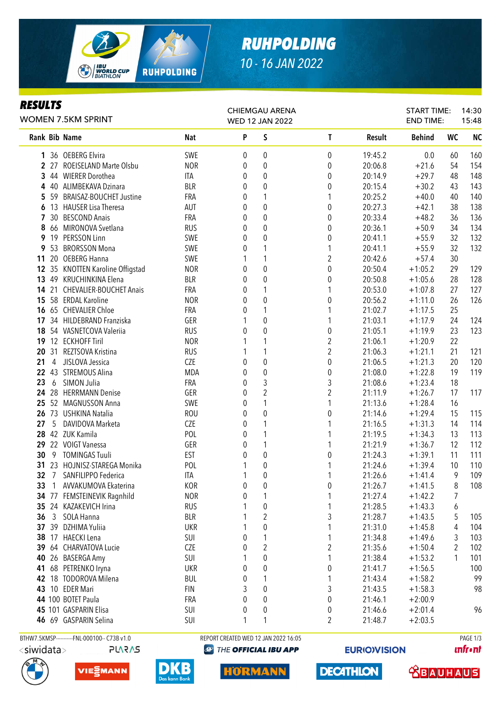

# *RUHPOLDING 10 - 16 JAN 2022*

### *RESULTS*

| <b>WOMEN 7.5KM SPRINT</b> |                |                                              |            | <b>CHIEMGAU ARENA</b><br><b>WED 12 JAN 2022</b> |                                      |                         |         | <b>START TIME:</b><br><b>END TIME:</b> |           | 14:30<br>15:48 |
|---------------------------|----------------|----------------------------------------------|------------|-------------------------------------------------|--------------------------------------|-------------------------|---------|----------------------------------------|-----------|----------------|
|                           |                | Rank Bib Name                                | <b>Nat</b> | P                                               | S                                    | T                       | Result  | <b>Behind</b>                          | <b>WC</b> | <b>NC</b>      |
|                           |                | 1 36 OEBERG Elvira                           | SWE        | 0                                               | 0                                    | 0                       | 19:45.2 | 0.0                                    | 60        | 160            |
|                           |                | 2 27 ROEISELAND Marte Olsbu                  | <b>NOR</b> | 0                                               | $\boldsymbol{0}$                     | 0                       | 20:06.8 | $+21.6$                                | 54        | 154            |
|                           |                | 3 44 WIERER Dorothea                         | ITA        | 0                                               | $\boldsymbol{0}$                     | 0                       | 20:14.9 | $+29.7$                                | 48        | 148            |
|                           |                | 4 40 ALIMBEKAVA Dzinara                      | <b>BLR</b> | 0                                               | 0                                    | 0                       | 20:15.4 | $+30.2$                                | 43        | 143            |
|                           |                | 5 59 BRAISAZ-BOUCHET Justine                 | FRA        | 0                                               | 1                                    | 1                       | 20:25.2 | $+40.0$                                | 40        | 140            |
| 6                         |                | 13 HAUSER Lisa Theresa                       | AUT        | 0                                               | 0                                    | $\boldsymbol{0}$        | 20:27.3 | $+42.1$                                | 38        | 138            |
| 7                         |                | 30 BESCOND Anais                             | <b>FRA</b> | 0                                               | 0                                    | 0                       | 20:33.4 | $+48.2$                                | 36        | 136            |
| 8                         |                | 66 MIRONOVA Svetlana                         | <b>RUS</b> | 0                                               | 0                                    | 0                       | 20:36.1 | $+50.9$                                | 34        | 134            |
| 9                         |                | 19 PERSSON Linn                              | SWE        | 0                                               | 0                                    | 0                       | 20:41.1 | $+55.9$                                | 32        | 132            |
| 9                         |                | 53 BRORSSON Mona                             | SWE        | 0                                               | 1                                    | 1                       | 20:41.1 | $+55.9$                                | 32        | 132            |
| 11                        |                | 20 OEBERG Hanna                              | SWE        | 1                                               | 1                                    | $\overline{2}$          | 20:42.6 | $+57.4$                                | 30        |                |
|                           |                | 12 35 KNOTTEN Karoline Offigstad             | <b>NOR</b> | 0                                               | $\pmb{0}$                            | $\boldsymbol{0}$        | 20:50.4 | $+1:05.2$                              | 29        | 129            |
| 13                        |                | 49 KRUCHINKINA Elena                         | <b>BLR</b> | 0                                               | $\boldsymbol{0}$                     | 0                       | 20:50.8 | $+1:05.6$                              | 28        | 128            |
| 14                        |                | 21 CHEVALIER-BOUCHET Anais                   | FRA        | 0                                               | 1                                    | 1                       | 20:53.0 | $+1:07.8$                              | 27        | 127            |
| 15                        |                | 58 ERDAL Karoline                            | <b>NOR</b> | 0                                               | $\boldsymbol{0}$                     | 0                       | 20:56.2 | $+1:11.0$                              | 26        | 126            |
|                           |                | 16 65 CHEVALIER Chloe                        | FRA        | 0                                               | 1                                    | 1                       | 21:02.7 | $+1:17.5$                              | 25        |                |
| 17                        |                | 34 HILDEBRAND Franziska                      | GER        |                                                 | $\mathbf 0$                          | 1                       | 21:03.1 | $+1:17.9$                              | 24        | 124            |
| 18                        |                | 54 VASNETCOVA Valeriia                       | <b>RUS</b> | 0                                               | $\mathbf 0$                          | $\boldsymbol{0}$        | 21:05.1 | $+1:19.9$                              | 23        | 123            |
| 19                        |                | 12 ECKHOFF Tiril                             | <b>NOR</b> |                                                 | 1                                    | $\overline{2}$          | 21:06.1 | $+1:20.9$                              | 22        |                |
| 20                        |                | 31 REZTSOVA Kristina                         | <b>RUS</b> |                                                 | 1                                    | $\overline{c}$          | 21:06.3 | $+1:21.1$                              | 21        | 121            |
| 21                        | $\overline{4}$ | JISLOVA Jessica                              | CZE        | 0                                               | $\mathbf 0$                          | $\boldsymbol{0}$        | 21:06.5 | $+1:21.3$                              | 20        | 120            |
|                           |                | 22 43 STREMOUS Alina                         | MDA        | 0                                               | $\boldsymbol{0}$                     | $\boldsymbol{0}$        | 21:08.0 | $+1:22.8$                              | 19        | 119            |
| 23                        | 6              | SIMON Julia                                  | FRA        | 0                                               | 3                                    | 3                       | 21:08.6 | $+1:23.4$                              | 18        |                |
|                           |                | 24 28 HERRMANN Denise                        | GER        | 0                                               | $\overline{2}$                       | $\overline{2}$          | 21:11.9 | $+1:26.7$                              | 17        | 117            |
|                           |                | 25 52 MAGNUSSON Anna                         | SWE        | 0                                               | 1                                    | 1                       | 21:13.6 | $+1:28.4$                              | 16        |                |
|                           |                | 26 73 USHKINA Natalia                        | <b>ROU</b> | 0                                               | 0                                    | 0                       | 21:14.6 | $+1:29.4$                              | 15        | 115            |
| 27                        | 5              | DAVIDOVA Marketa                             | CZE        | 0                                               | 1                                    | 1                       | 21:16.5 | $+1:31.3$                              | 14        | 114            |
|                           |                | 28 42 ZUK Kamila                             | POL        | 0                                               | 1                                    | 1                       | 21:19.5 | $+1:34.3$                              | 13        | 113            |
|                           |                | 29 22 VOIGT Vanessa                          | GER        | 0                                               | 1                                    | 1                       | 21:21.9 | $+1:36.7$                              | 12        | 112            |
| 30                        |                | 9 TOMINGAS Tuuli                             | <b>EST</b> | 0                                               | $\boldsymbol{0}$                     | 0                       | 21:24.3 | $+1:39.1$                              | 11        | 111            |
|                           |                | 31 23 HOJNISZ-STAREGA Monika                 | POL        | 1                                               | $\boldsymbol{0}$                     | 1                       | 21:24.6 | $+1:39.4$                              | 10        | 110            |
|                           |                | 32 7 SANFILIPPO Federica                     | <b>ITA</b> |                                                 | 0                                    | 1                       | 21:26.6 | $+1:41.4$                              | 9         | 109            |
|                           |                | 33 1 AVVAKUMOVA Ekaterina                    | <b>KOR</b> | 0                                               | 0                                    | 0                       | 21:26.7 | $+1:41.5$                              | 8         | 108            |
|                           |                | 34 77 FEMSTEINEVIK Ragnhild                  | <b>NOR</b> | 0                                               | 1                                    | 1                       | 21:27.4 | $+1:42.2$                              | 7         |                |
|                           |                | 35 24 KAZAKEVICH Irina                       | <b>RUS</b> | 1                                               | $\pmb{0}$                            | 1                       | 21:28.5 | $+1:43.3$                              | 6         |                |
| 36                        |                | 3 SOLA Hanna                                 | <b>BLR</b> |                                                 | $\overline{c}$                       | 3                       | 21:28.7 | $+1:43.5$                              | 5         | 105            |
|                           |                | 37 39 DZHIMA Yuliia                          | <b>UKR</b> |                                                 | $\boldsymbol{0}$                     | 1                       | 21:31.0 | $+1:45.8$                              | 4         | 104            |
| 38                        |                | 17 HAECKI Lena                               | SUI        |                                                 | 1                                    | 1                       | 21:34.8 | $+1:49.6$                              | 3         | 103            |
|                           |                | 39 64 CHARVATOVA Lucie                       | CZE        | 0                                               | $\overline{c}$                       | $\overline{\mathbf{c}}$ | 21:35.6 |                                        |           | 102            |
| 40                        |                | 26 BASERGA Amy                               |            | 0                                               | $\boldsymbol{0}$                     | 1                       |         | $+1:50.4$                              | 2<br>1    |                |
|                           |                |                                              | SUI        |                                                 |                                      |                         | 21:38.4 | $+1:53.2$                              |           | 101            |
|                           |                | 41 68 PETRENKO Iryna                         | <b>UKR</b> | 0                                               | $\boldsymbol{0}$                     | $\pmb{0}$               | 21:41.7 | $+1:56.5$                              |           | 100            |
|                           |                | 42 18 TODOROVA Milena                        | <b>BUL</b> | 0                                               | 1                                    | 1                       | 21:43.4 | $+1:58.2$                              |           | 99             |
|                           |                | 43 10 EDER Mari                              | <b>FIN</b> | 3                                               | $\boldsymbol{0}$                     | 3                       | 21:43.5 | $+1:58.3$                              |           | 98             |
|                           |                | 44 100 BOTET Paula                           | FRA        | 0                                               | $\boldsymbol{0}$                     | 0                       | 21:46.1 | $+2:00.9$                              |           |                |
|                           |                | 45 101 GASPARIN Elisa                        | SUI        | 0                                               | $\boldsymbol{0}$                     | 0                       | 21:46.6 | $+2:01.4$                              |           | 96             |
|                           |                | 46 69 GASPARIN Selina                        | SUI        | 1                                               | 1                                    | 2                       | 21:48.7 | $+2:03.5$                              |           |                |
|                           |                | BTHW7.5KMSP-----------FNL-000100-- C73B v1.0 |            |                                                 | REPORT CREATED WED 12 JAN 2022 16:05 |                         |         |                                        |           | PAGE 1/3       |

**PLARAS** 







**@ THE OFFICIAL IBU APP** 

**HORMANN** 

**EURIO)VISION** 

**DECATHLON** 

**unfront** 

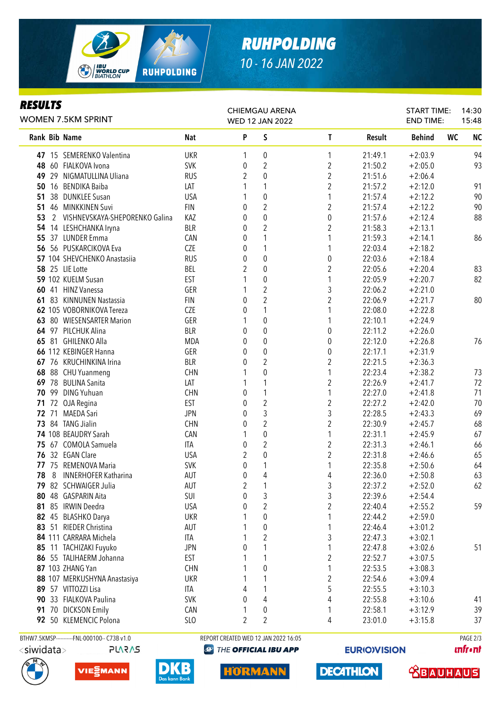

# *RUHPOLDING 10 - 16 JAN 2022*

### *RESULTS*

| P<br>S<br><b>NC</b><br><b>Nat</b><br>T<br><b>WC</b><br>Rank Bib Name<br>Result<br><b>Behind</b><br><b>UKR</b><br>$+2:03.9$<br>94<br>47 15 SEMERENKO Valentina<br>0<br>1<br>21:49.1<br>1<br>$\overline{2}$<br>$\overline{\mathbf{c}}$<br>93<br>48 60 FIALKOVA Ivona<br><b>SVK</b><br>21:50.2<br>$+2:05.0$<br>0<br>$\overline{c}$<br>49 29 NIGMATULLINA Uliana<br><b>RUS</b><br>2<br>0<br>$+2:06.4$<br>21:51.6<br>$\overline{c}$<br>1<br>$+2:12.0$<br>91<br>50 16 BENDIKA Baiba<br>LAT<br>21:57.2<br>$\pmb{0}$<br>90<br>38 DUNKLEE Susan<br><b>USA</b><br>1<br>$+2:12.2$<br>21:57.4<br>51<br>$\overline{2}$<br>2<br>90<br>51 46 MINKKINEN Suvi<br><b>FIN</b><br>$+2:12.2$<br>0<br>21:57.4<br>$\pmb{0}$<br>$\pmb{0}$<br>88<br>53<br>2 VISHNEVSKAYA-SHEPORENKO Galina<br>KAZ<br>$+2:12.4$<br>0<br>21:57.6<br>$\overline{2}$<br>$\overline{2}$<br><b>BLR</b><br>$+2:13.1$<br>54 14 LESHCHANKA Iryna<br>0<br>21:58.3<br>1<br>55 37 LUNDER Emma<br>CAN<br>1<br>21:59.3<br>$+2:14.1$<br>86<br>0<br>CZE<br>1<br>56 56 PUSKARCIKOVA Eva<br>0<br>1<br>22:03.4<br>$+2:18.2$<br>$\pmb{0}$<br>0<br>57 104 SHEVCHENKO Anastasiia<br><b>RUS</b><br>0<br>22:03.6<br>$+2:18.4$<br>$\overline{c}$<br>$\overline{2}$<br>$\pmb{0}$<br>83<br><b>58</b> 25 LIE Lotte<br>BEL<br>22:05.6<br>$+2:20.4$<br>$\pmb{0}$<br>82<br>59 102 KUELM Susan<br><b>EST</b><br>1<br>22:05.9<br>$+2:20.7$<br>$\sqrt{2}$<br>3<br>60 41 HINZ Vanessa<br>GER<br>22:06.2<br>$+2:21.0$<br>$\overline{c}$<br>$\overline{2}$<br>80<br><b>FIN</b><br>0<br>61 83 KINNUNEN Nastassia<br>22:06.9<br>$+2:21.7$<br>1<br>1<br>62 105 VOBORNIKOVA Tereza<br>CZE<br>22:08.0<br>$+2:22.8$<br>0<br>$\mathbf 0$<br>63 80 WIESENSARTER Marion<br>GER<br>1<br>22:10.1<br>$+2:24.9$<br>1<br>$\mathbf 0$<br>64 97 PILCHUK Alina<br><b>BLR</b><br>0<br>22:11.2<br>$+2:26.0$<br>0<br>76<br>65 81 GHILENKO Alla<br><b>MDA</b><br>0<br>0<br>22:12.0<br>$+2:26.8$<br>0<br>$\mathbf 0$<br>66 112 KEBINGER Hanna<br>GER<br>0<br>22:17.1<br>$+2:31.9$<br>0<br>$\overline{2}$<br>$\overline{2}$<br>67 76 KRUCHINKINA Irina<br><b>BLR</b><br>22:21.5<br>$+2:36.3$<br>0<br>$\mathbf 0$<br>1<br>22:23.4<br>$+2:38.2$<br>73<br>68 88 CHU Yuanmeng<br><b>CHN</b><br>$\overline{2}$<br>1<br>72<br>22:26.9<br>69 78 BULINA Sanita<br>LAT<br>$+2:41.7$<br>70 99 DING Yuhuan<br>1<br>1<br>$+2:41.8$<br>71<br><b>CHN</b><br>22:27.0<br>0<br>$\overline{2}$<br>$\overline{2}$<br><b>EST</b><br>22:27.2<br>$+2:42.0$<br>70<br>71 72 OJA Regina<br>0<br>3<br>3<br>69<br>72 71 MAEDA Sari<br><b>JPN</b><br>22:28.5<br>$+2:43.3$<br>0<br>$\overline{2}$<br>$\overline{c}$<br>68<br>73 84 TANG Jialin<br><b>CHN</b><br>22:30.9<br>$+2:45.7$<br>0<br>$\pmb{0}$<br>1<br>67<br>74 108 BEAUDRY Sarah<br>CAN<br>22:31.1<br>$+2:45.9$<br>1<br>$\overline{2}$<br>2<br>66<br>75 67 COMOLA Samuela<br><b>ITA</b><br>0<br>22:31.3<br>$+2:46.1$<br>76 32 EGAN Clare<br>2<br>$\pmb{0}$<br>$\overline{\mathbf{c}}$<br><b>USA</b><br>22:31.8<br>$+2:46.6$<br>65<br>77 75 REMENOVA Maria<br><b>SVK</b><br>0<br>1<br>1<br>22:35.8<br>64<br>$+2:50.6$<br>78<br>8<br><b>INNERHOFER Katharina</b><br>AUT<br>0<br>4<br>4<br>22:36.0<br>$+2:50.8$<br>63<br>79 82 SCHWAIGER Julia<br>AUT<br>$\overline{2}$<br>1<br>3<br>62<br>22:37.2<br>$+2:52.0$<br>3<br>0<br>3<br>80 48 GASPARIN Aita<br><b>SUI</b><br>22:39.6<br>$+2:54.4$<br>$\overline{c}$<br>$\overline{c}$<br>81 85 IRWIN Deedra<br><b>USA</b><br>0<br>59<br>22:40.4<br>$+2:55.2$<br>$\pmb{0}$<br>82 45 BLASHKO Darya<br><b>UKR</b><br>1<br>22:44.2<br>$+2:59.0$<br>$\pmb{0}$<br>1<br>83 51 RIEDER Christina<br>AUT<br>22:46.4<br>$+3:01.2$<br>$\sqrt{2}$<br>3<br>84 111 CARRARA Michela<br>ITA<br>22:47.3<br>$+3:02.1$<br>1<br>1<br>51<br>85 11 TACHIZAKI Fuyuko<br><b>JPN</b><br>0<br>22:47.8<br>$+3:02.6$<br>$\overline{\mathbf{c}}$<br>86 55 TALIHAERM Johanna<br><b>EST</b><br>1<br>22:52.7<br>$+3:07.5$<br>$\pmb{0}$<br>1<br><b>CHN</b><br>87 103 ZHANG Yan<br>22:53.5<br>$+3:08.3$<br>$\overline{\mathbf{c}}$<br>1<br>88 107 MERKUSHYNA Anastasiya<br><b>UKR</b><br>22:54.6<br>$+3:09.4$<br>5<br>1<br>89 57 VITTOZZI Lisa<br>22:55.5<br>$+3:10.3$<br>ITA<br>4<br>4<br>4<br>90 33 FIALKOVA Paulina<br><b>SVK</b><br>0<br>22:55.8<br>$+3:10.6$<br>41<br>91 70 DICKSON Emily<br>39<br>CAN<br>0<br>1<br>22:58.1<br>$+3:12.9$<br>$\overline{2}$<br>$\overline{2}$<br>92 50 KLEMENCIC Polona<br>SLO<br>37<br>4<br>23:01.0<br>$+3:15.8$<br>BTHW7.5KMSP-----------FNL-000100-- C73B v1.0<br>REPORT CREATED WED 12 JAN 2022 16:05<br>PAGE 2/3 | <b>WOMEN 7.5KM SPRINT</b> |  |  |  | <b>CHIEMGAU ARENA</b><br>WED 12 JAN 2022 |  | START TIME:<br><b>END TIME:</b> | 14:30<br>15:48 |
|--------------------------------------------------------------------------------------------------------------------------------------------------------------------------------------------------------------------------------------------------------------------------------------------------------------------------------------------------------------------------------------------------------------------------------------------------------------------------------------------------------------------------------------------------------------------------------------------------------------------------------------------------------------------------------------------------------------------------------------------------------------------------------------------------------------------------------------------------------------------------------------------------------------------------------------------------------------------------------------------------------------------------------------------------------------------------------------------------------------------------------------------------------------------------------------------------------------------------------------------------------------------------------------------------------------------------------------------------------------------------------------------------------------------------------------------------------------------------------------------------------------------------------------------------------------------------------------------------------------------------------------------------------------------------------------------------------------------------------------------------------------------------------------------------------------------------------------------------------------------------------------------------------------------------------------------------------------------------------------------------------------------------------------------------------------------------------------------------------------------------------------------------------------------------------------------------------------------------------------------------------------------------------------------------------------------------------------------------------------------------------------------------------------------------------------------------------------------------------------------------------------------------------------------------------------------------------------------------------------------------------------------------------------------------------------------------------------------------------------------------------------------------------------------------------------------------------------------------------------------------------------------------------------------------------------------------------------------------------------------------------------------------------------------------------------------------------------------------------------------------------------------------------------------------------------------------------------------------------------------------------------------------------------------------------------------------------------------------------------------------------------------------------------------------------------------------------------------------------------------------------------------------------------------------------------------------------------------------------------------------------------------------------------------------------------------------------------------------------------------------------------------------------------------------------------------------------------------------------------------------------------------------------------------------------------------------------------------------------------------------------------------------------------------------------------------------------------------------------------------------------------------------------------------------------------------------------------------------------------------------------------------------------------------------------------------------------------------------------------------------------------------------------------------------------------------------------------------------------------|---------------------------|--|--|--|------------------------------------------|--|---------------------------------|----------------|
|                                                                                                                                                                                                                                                                                                                                                                                                                                                                                                                                                                                                                                                                                                                                                                                                                                                                                                                                                                                                                                                                                                                                                                                                                                                                                                                                                                                                                                                                                                                                                                                                                                                                                                                                                                                                                                                                                                                                                                                                                                                                                                                                                                                                                                                                                                                                                                                                                                                                                                                                                                                                                                                                                                                                                                                                                                                                                                                                                                                                                                                                                                                                                                                                                                                                                                                                                                                                                                                                                                                                                                                                                                                                                                                                                                                                                                                                                                                                                                                                                                                                                                                                                                                                                                                                                                                                                                                                                                                                                      |                           |  |  |  |                                          |  |                                 |                |
|                                                                                                                                                                                                                                                                                                                                                                                                                                                                                                                                                                                                                                                                                                                                                                                                                                                                                                                                                                                                                                                                                                                                                                                                                                                                                                                                                                                                                                                                                                                                                                                                                                                                                                                                                                                                                                                                                                                                                                                                                                                                                                                                                                                                                                                                                                                                                                                                                                                                                                                                                                                                                                                                                                                                                                                                                                                                                                                                                                                                                                                                                                                                                                                                                                                                                                                                                                                                                                                                                                                                                                                                                                                                                                                                                                                                                                                                                                                                                                                                                                                                                                                                                                                                                                                                                                                                                                                                                                                                                      |                           |  |  |  |                                          |  |                                 |                |
|                                                                                                                                                                                                                                                                                                                                                                                                                                                                                                                                                                                                                                                                                                                                                                                                                                                                                                                                                                                                                                                                                                                                                                                                                                                                                                                                                                                                                                                                                                                                                                                                                                                                                                                                                                                                                                                                                                                                                                                                                                                                                                                                                                                                                                                                                                                                                                                                                                                                                                                                                                                                                                                                                                                                                                                                                                                                                                                                                                                                                                                                                                                                                                                                                                                                                                                                                                                                                                                                                                                                                                                                                                                                                                                                                                                                                                                                                                                                                                                                                                                                                                                                                                                                                                                                                                                                                                                                                                                                                      |                           |  |  |  |                                          |  |                                 |                |
|                                                                                                                                                                                                                                                                                                                                                                                                                                                                                                                                                                                                                                                                                                                                                                                                                                                                                                                                                                                                                                                                                                                                                                                                                                                                                                                                                                                                                                                                                                                                                                                                                                                                                                                                                                                                                                                                                                                                                                                                                                                                                                                                                                                                                                                                                                                                                                                                                                                                                                                                                                                                                                                                                                                                                                                                                                                                                                                                                                                                                                                                                                                                                                                                                                                                                                                                                                                                                                                                                                                                                                                                                                                                                                                                                                                                                                                                                                                                                                                                                                                                                                                                                                                                                                                                                                                                                                                                                                                                                      |                           |  |  |  |                                          |  |                                 |                |
|                                                                                                                                                                                                                                                                                                                                                                                                                                                                                                                                                                                                                                                                                                                                                                                                                                                                                                                                                                                                                                                                                                                                                                                                                                                                                                                                                                                                                                                                                                                                                                                                                                                                                                                                                                                                                                                                                                                                                                                                                                                                                                                                                                                                                                                                                                                                                                                                                                                                                                                                                                                                                                                                                                                                                                                                                                                                                                                                                                                                                                                                                                                                                                                                                                                                                                                                                                                                                                                                                                                                                                                                                                                                                                                                                                                                                                                                                                                                                                                                                                                                                                                                                                                                                                                                                                                                                                                                                                                                                      |                           |  |  |  |                                          |  |                                 |                |
|                                                                                                                                                                                                                                                                                                                                                                                                                                                                                                                                                                                                                                                                                                                                                                                                                                                                                                                                                                                                                                                                                                                                                                                                                                                                                                                                                                                                                                                                                                                                                                                                                                                                                                                                                                                                                                                                                                                                                                                                                                                                                                                                                                                                                                                                                                                                                                                                                                                                                                                                                                                                                                                                                                                                                                                                                                                                                                                                                                                                                                                                                                                                                                                                                                                                                                                                                                                                                                                                                                                                                                                                                                                                                                                                                                                                                                                                                                                                                                                                                                                                                                                                                                                                                                                                                                                                                                                                                                                                                      |                           |  |  |  |                                          |  |                                 |                |
|                                                                                                                                                                                                                                                                                                                                                                                                                                                                                                                                                                                                                                                                                                                                                                                                                                                                                                                                                                                                                                                                                                                                                                                                                                                                                                                                                                                                                                                                                                                                                                                                                                                                                                                                                                                                                                                                                                                                                                                                                                                                                                                                                                                                                                                                                                                                                                                                                                                                                                                                                                                                                                                                                                                                                                                                                                                                                                                                                                                                                                                                                                                                                                                                                                                                                                                                                                                                                                                                                                                                                                                                                                                                                                                                                                                                                                                                                                                                                                                                                                                                                                                                                                                                                                                                                                                                                                                                                                                                                      |                           |  |  |  |                                          |  |                                 |                |
|                                                                                                                                                                                                                                                                                                                                                                                                                                                                                                                                                                                                                                                                                                                                                                                                                                                                                                                                                                                                                                                                                                                                                                                                                                                                                                                                                                                                                                                                                                                                                                                                                                                                                                                                                                                                                                                                                                                                                                                                                                                                                                                                                                                                                                                                                                                                                                                                                                                                                                                                                                                                                                                                                                                                                                                                                                                                                                                                                                                                                                                                                                                                                                                                                                                                                                                                                                                                                                                                                                                                                                                                                                                                                                                                                                                                                                                                                                                                                                                                                                                                                                                                                                                                                                                                                                                                                                                                                                                                                      |                           |  |  |  |                                          |  |                                 |                |
|                                                                                                                                                                                                                                                                                                                                                                                                                                                                                                                                                                                                                                                                                                                                                                                                                                                                                                                                                                                                                                                                                                                                                                                                                                                                                                                                                                                                                                                                                                                                                                                                                                                                                                                                                                                                                                                                                                                                                                                                                                                                                                                                                                                                                                                                                                                                                                                                                                                                                                                                                                                                                                                                                                                                                                                                                                                                                                                                                                                                                                                                                                                                                                                                                                                                                                                                                                                                                                                                                                                                                                                                                                                                                                                                                                                                                                                                                                                                                                                                                                                                                                                                                                                                                                                                                                                                                                                                                                                                                      |                           |  |  |  |                                          |  |                                 |                |
|                                                                                                                                                                                                                                                                                                                                                                                                                                                                                                                                                                                                                                                                                                                                                                                                                                                                                                                                                                                                                                                                                                                                                                                                                                                                                                                                                                                                                                                                                                                                                                                                                                                                                                                                                                                                                                                                                                                                                                                                                                                                                                                                                                                                                                                                                                                                                                                                                                                                                                                                                                                                                                                                                                                                                                                                                                                                                                                                                                                                                                                                                                                                                                                                                                                                                                                                                                                                                                                                                                                                                                                                                                                                                                                                                                                                                                                                                                                                                                                                                                                                                                                                                                                                                                                                                                                                                                                                                                                                                      |                           |  |  |  |                                          |  |                                 |                |
|                                                                                                                                                                                                                                                                                                                                                                                                                                                                                                                                                                                                                                                                                                                                                                                                                                                                                                                                                                                                                                                                                                                                                                                                                                                                                                                                                                                                                                                                                                                                                                                                                                                                                                                                                                                                                                                                                                                                                                                                                                                                                                                                                                                                                                                                                                                                                                                                                                                                                                                                                                                                                                                                                                                                                                                                                                                                                                                                                                                                                                                                                                                                                                                                                                                                                                                                                                                                                                                                                                                                                                                                                                                                                                                                                                                                                                                                                                                                                                                                                                                                                                                                                                                                                                                                                                                                                                                                                                                                                      |                           |  |  |  |                                          |  |                                 |                |
|                                                                                                                                                                                                                                                                                                                                                                                                                                                                                                                                                                                                                                                                                                                                                                                                                                                                                                                                                                                                                                                                                                                                                                                                                                                                                                                                                                                                                                                                                                                                                                                                                                                                                                                                                                                                                                                                                                                                                                                                                                                                                                                                                                                                                                                                                                                                                                                                                                                                                                                                                                                                                                                                                                                                                                                                                                                                                                                                                                                                                                                                                                                                                                                                                                                                                                                                                                                                                                                                                                                                                                                                                                                                                                                                                                                                                                                                                                                                                                                                                                                                                                                                                                                                                                                                                                                                                                                                                                                                                      |                           |  |  |  |                                          |  |                                 |                |
|                                                                                                                                                                                                                                                                                                                                                                                                                                                                                                                                                                                                                                                                                                                                                                                                                                                                                                                                                                                                                                                                                                                                                                                                                                                                                                                                                                                                                                                                                                                                                                                                                                                                                                                                                                                                                                                                                                                                                                                                                                                                                                                                                                                                                                                                                                                                                                                                                                                                                                                                                                                                                                                                                                                                                                                                                                                                                                                                                                                                                                                                                                                                                                                                                                                                                                                                                                                                                                                                                                                                                                                                                                                                                                                                                                                                                                                                                                                                                                                                                                                                                                                                                                                                                                                                                                                                                                                                                                                                                      |                           |  |  |  |                                          |  |                                 |                |
|                                                                                                                                                                                                                                                                                                                                                                                                                                                                                                                                                                                                                                                                                                                                                                                                                                                                                                                                                                                                                                                                                                                                                                                                                                                                                                                                                                                                                                                                                                                                                                                                                                                                                                                                                                                                                                                                                                                                                                                                                                                                                                                                                                                                                                                                                                                                                                                                                                                                                                                                                                                                                                                                                                                                                                                                                                                                                                                                                                                                                                                                                                                                                                                                                                                                                                                                                                                                                                                                                                                                                                                                                                                                                                                                                                                                                                                                                                                                                                                                                                                                                                                                                                                                                                                                                                                                                                                                                                                                                      |                           |  |  |  |                                          |  |                                 |                |
|                                                                                                                                                                                                                                                                                                                                                                                                                                                                                                                                                                                                                                                                                                                                                                                                                                                                                                                                                                                                                                                                                                                                                                                                                                                                                                                                                                                                                                                                                                                                                                                                                                                                                                                                                                                                                                                                                                                                                                                                                                                                                                                                                                                                                                                                                                                                                                                                                                                                                                                                                                                                                                                                                                                                                                                                                                                                                                                                                                                                                                                                                                                                                                                                                                                                                                                                                                                                                                                                                                                                                                                                                                                                                                                                                                                                                                                                                                                                                                                                                                                                                                                                                                                                                                                                                                                                                                                                                                                                                      |                           |  |  |  |                                          |  |                                 |                |
|                                                                                                                                                                                                                                                                                                                                                                                                                                                                                                                                                                                                                                                                                                                                                                                                                                                                                                                                                                                                                                                                                                                                                                                                                                                                                                                                                                                                                                                                                                                                                                                                                                                                                                                                                                                                                                                                                                                                                                                                                                                                                                                                                                                                                                                                                                                                                                                                                                                                                                                                                                                                                                                                                                                                                                                                                                                                                                                                                                                                                                                                                                                                                                                                                                                                                                                                                                                                                                                                                                                                                                                                                                                                                                                                                                                                                                                                                                                                                                                                                                                                                                                                                                                                                                                                                                                                                                                                                                                                                      |                           |  |  |  |                                          |  |                                 |                |
|                                                                                                                                                                                                                                                                                                                                                                                                                                                                                                                                                                                                                                                                                                                                                                                                                                                                                                                                                                                                                                                                                                                                                                                                                                                                                                                                                                                                                                                                                                                                                                                                                                                                                                                                                                                                                                                                                                                                                                                                                                                                                                                                                                                                                                                                                                                                                                                                                                                                                                                                                                                                                                                                                                                                                                                                                                                                                                                                                                                                                                                                                                                                                                                                                                                                                                                                                                                                                                                                                                                                                                                                                                                                                                                                                                                                                                                                                                                                                                                                                                                                                                                                                                                                                                                                                                                                                                                                                                                                                      |                           |  |  |  |                                          |  |                                 |                |
|                                                                                                                                                                                                                                                                                                                                                                                                                                                                                                                                                                                                                                                                                                                                                                                                                                                                                                                                                                                                                                                                                                                                                                                                                                                                                                                                                                                                                                                                                                                                                                                                                                                                                                                                                                                                                                                                                                                                                                                                                                                                                                                                                                                                                                                                                                                                                                                                                                                                                                                                                                                                                                                                                                                                                                                                                                                                                                                                                                                                                                                                                                                                                                                                                                                                                                                                                                                                                                                                                                                                                                                                                                                                                                                                                                                                                                                                                                                                                                                                                                                                                                                                                                                                                                                                                                                                                                                                                                                                                      |                           |  |  |  |                                          |  |                                 |                |
|                                                                                                                                                                                                                                                                                                                                                                                                                                                                                                                                                                                                                                                                                                                                                                                                                                                                                                                                                                                                                                                                                                                                                                                                                                                                                                                                                                                                                                                                                                                                                                                                                                                                                                                                                                                                                                                                                                                                                                                                                                                                                                                                                                                                                                                                                                                                                                                                                                                                                                                                                                                                                                                                                                                                                                                                                                                                                                                                                                                                                                                                                                                                                                                                                                                                                                                                                                                                                                                                                                                                                                                                                                                                                                                                                                                                                                                                                                                                                                                                                                                                                                                                                                                                                                                                                                                                                                                                                                                                                      |                           |  |  |  |                                          |  |                                 |                |
|                                                                                                                                                                                                                                                                                                                                                                                                                                                                                                                                                                                                                                                                                                                                                                                                                                                                                                                                                                                                                                                                                                                                                                                                                                                                                                                                                                                                                                                                                                                                                                                                                                                                                                                                                                                                                                                                                                                                                                                                                                                                                                                                                                                                                                                                                                                                                                                                                                                                                                                                                                                                                                                                                                                                                                                                                                                                                                                                                                                                                                                                                                                                                                                                                                                                                                                                                                                                                                                                                                                                                                                                                                                                                                                                                                                                                                                                                                                                                                                                                                                                                                                                                                                                                                                                                                                                                                                                                                                                                      |                           |  |  |  |                                          |  |                                 |                |
|                                                                                                                                                                                                                                                                                                                                                                                                                                                                                                                                                                                                                                                                                                                                                                                                                                                                                                                                                                                                                                                                                                                                                                                                                                                                                                                                                                                                                                                                                                                                                                                                                                                                                                                                                                                                                                                                                                                                                                                                                                                                                                                                                                                                                                                                                                                                                                                                                                                                                                                                                                                                                                                                                                                                                                                                                                                                                                                                                                                                                                                                                                                                                                                                                                                                                                                                                                                                                                                                                                                                                                                                                                                                                                                                                                                                                                                                                                                                                                                                                                                                                                                                                                                                                                                                                                                                                                                                                                                                                      |                           |  |  |  |                                          |  |                                 |                |
|                                                                                                                                                                                                                                                                                                                                                                                                                                                                                                                                                                                                                                                                                                                                                                                                                                                                                                                                                                                                                                                                                                                                                                                                                                                                                                                                                                                                                                                                                                                                                                                                                                                                                                                                                                                                                                                                                                                                                                                                                                                                                                                                                                                                                                                                                                                                                                                                                                                                                                                                                                                                                                                                                                                                                                                                                                                                                                                                                                                                                                                                                                                                                                                                                                                                                                                                                                                                                                                                                                                                                                                                                                                                                                                                                                                                                                                                                                                                                                                                                                                                                                                                                                                                                                                                                                                                                                                                                                                                                      |                           |  |  |  |                                          |  |                                 |                |
|                                                                                                                                                                                                                                                                                                                                                                                                                                                                                                                                                                                                                                                                                                                                                                                                                                                                                                                                                                                                                                                                                                                                                                                                                                                                                                                                                                                                                                                                                                                                                                                                                                                                                                                                                                                                                                                                                                                                                                                                                                                                                                                                                                                                                                                                                                                                                                                                                                                                                                                                                                                                                                                                                                                                                                                                                                                                                                                                                                                                                                                                                                                                                                                                                                                                                                                                                                                                                                                                                                                                                                                                                                                                                                                                                                                                                                                                                                                                                                                                                                                                                                                                                                                                                                                                                                                                                                                                                                                                                      |                           |  |  |  |                                          |  |                                 |                |
|                                                                                                                                                                                                                                                                                                                                                                                                                                                                                                                                                                                                                                                                                                                                                                                                                                                                                                                                                                                                                                                                                                                                                                                                                                                                                                                                                                                                                                                                                                                                                                                                                                                                                                                                                                                                                                                                                                                                                                                                                                                                                                                                                                                                                                                                                                                                                                                                                                                                                                                                                                                                                                                                                                                                                                                                                                                                                                                                                                                                                                                                                                                                                                                                                                                                                                                                                                                                                                                                                                                                                                                                                                                                                                                                                                                                                                                                                                                                                                                                                                                                                                                                                                                                                                                                                                                                                                                                                                                                                      |                           |  |  |  |                                          |  |                                 |                |
|                                                                                                                                                                                                                                                                                                                                                                                                                                                                                                                                                                                                                                                                                                                                                                                                                                                                                                                                                                                                                                                                                                                                                                                                                                                                                                                                                                                                                                                                                                                                                                                                                                                                                                                                                                                                                                                                                                                                                                                                                                                                                                                                                                                                                                                                                                                                                                                                                                                                                                                                                                                                                                                                                                                                                                                                                                                                                                                                                                                                                                                                                                                                                                                                                                                                                                                                                                                                                                                                                                                                                                                                                                                                                                                                                                                                                                                                                                                                                                                                                                                                                                                                                                                                                                                                                                                                                                                                                                                                                      |                           |  |  |  |                                          |  |                                 |                |
|                                                                                                                                                                                                                                                                                                                                                                                                                                                                                                                                                                                                                                                                                                                                                                                                                                                                                                                                                                                                                                                                                                                                                                                                                                                                                                                                                                                                                                                                                                                                                                                                                                                                                                                                                                                                                                                                                                                                                                                                                                                                                                                                                                                                                                                                                                                                                                                                                                                                                                                                                                                                                                                                                                                                                                                                                                                                                                                                                                                                                                                                                                                                                                                                                                                                                                                                                                                                                                                                                                                                                                                                                                                                                                                                                                                                                                                                                                                                                                                                                                                                                                                                                                                                                                                                                                                                                                                                                                                                                      |                           |  |  |  |                                          |  |                                 |                |
|                                                                                                                                                                                                                                                                                                                                                                                                                                                                                                                                                                                                                                                                                                                                                                                                                                                                                                                                                                                                                                                                                                                                                                                                                                                                                                                                                                                                                                                                                                                                                                                                                                                                                                                                                                                                                                                                                                                                                                                                                                                                                                                                                                                                                                                                                                                                                                                                                                                                                                                                                                                                                                                                                                                                                                                                                                                                                                                                                                                                                                                                                                                                                                                                                                                                                                                                                                                                                                                                                                                                                                                                                                                                                                                                                                                                                                                                                                                                                                                                                                                                                                                                                                                                                                                                                                                                                                                                                                                                                      |                           |  |  |  |                                          |  |                                 |                |
|                                                                                                                                                                                                                                                                                                                                                                                                                                                                                                                                                                                                                                                                                                                                                                                                                                                                                                                                                                                                                                                                                                                                                                                                                                                                                                                                                                                                                                                                                                                                                                                                                                                                                                                                                                                                                                                                                                                                                                                                                                                                                                                                                                                                                                                                                                                                                                                                                                                                                                                                                                                                                                                                                                                                                                                                                                                                                                                                                                                                                                                                                                                                                                                                                                                                                                                                                                                                                                                                                                                                                                                                                                                                                                                                                                                                                                                                                                                                                                                                                                                                                                                                                                                                                                                                                                                                                                                                                                                                                      |                           |  |  |  |                                          |  |                                 |                |
|                                                                                                                                                                                                                                                                                                                                                                                                                                                                                                                                                                                                                                                                                                                                                                                                                                                                                                                                                                                                                                                                                                                                                                                                                                                                                                                                                                                                                                                                                                                                                                                                                                                                                                                                                                                                                                                                                                                                                                                                                                                                                                                                                                                                                                                                                                                                                                                                                                                                                                                                                                                                                                                                                                                                                                                                                                                                                                                                                                                                                                                                                                                                                                                                                                                                                                                                                                                                                                                                                                                                                                                                                                                                                                                                                                                                                                                                                                                                                                                                                                                                                                                                                                                                                                                                                                                                                                                                                                                                                      |                           |  |  |  |                                          |  |                                 |                |
|                                                                                                                                                                                                                                                                                                                                                                                                                                                                                                                                                                                                                                                                                                                                                                                                                                                                                                                                                                                                                                                                                                                                                                                                                                                                                                                                                                                                                                                                                                                                                                                                                                                                                                                                                                                                                                                                                                                                                                                                                                                                                                                                                                                                                                                                                                                                                                                                                                                                                                                                                                                                                                                                                                                                                                                                                                                                                                                                                                                                                                                                                                                                                                                                                                                                                                                                                                                                                                                                                                                                                                                                                                                                                                                                                                                                                                                                                                                                                                                                                                                                                                                                                                                                                                                                                                                                                                                                                                                                                      |                           |  |  |  |                                          |  |                                 |                |
|                                                                                                                                                                                                                                                                                                                                                                                                                                                                                                                                                                                                                                                                                                                                                                                                                                                                                                                                                                                                                                                                                                                                                                                                                                                                                                                                                                                                                                                                                                                                                                                                                                                                                                                                                                                                                                                                                                                                                                                                                                                                                                                                                                                                                                                                                                                                                                                                                                                                                                                                                                                                                                                                                                                                                                                                                                                                                                                                                                                                                                                                                                                                                                                                                                                                                                                                                                                                                                                                                                                                                                                                                                                                                                                                                                                                                                                                                                                                                                                                                                                                                                                                                                                                                                                                                                                                                                                                                                                                                      |                           |  |  |  |                                          |  |                                 |                |
|                                                                                                                                                                                                                                                                                                                                                                                                                                                                                                                                                                                                                                                                                                                                                                                                                                                                                                                                                                                                                                                                                                                                                                                                                                                                                                                                                                                                                                                                                                                                                                                                                                                                                                                                                                                                                                                                                                                                                                                                                                                                                                                                                                                                                                                                                                                                                                                                                                                                                                                                                                                                                                                                                                                                                                                                                                                                                                                                                                                                                                                                                                                                                                                                                                                                                                                                                                                                                                                                                                                                                                                                                                                                                                                                                                                                                                                                                                                                                                                                                                                                                                                                                                                                                                                                                                                                                                                                                                                                                      |                           |  |  |  |                                          |  |                                 |                |
|                                                                                                                                                                                                                                                                                                                                                                                                                                                                                                                                                                                                                                                                                                                                                                                                                                                                                                                                                                                                                                                                                                                                                                                                                                                                                                                                                                                                                                                                                                                                                                                                                                                                                                                                                                                                                                                                                                                                                                                                                                                                                                                                                                                                                                                                                                                                                                                                                                                                                                                                                                                                                                                                                                                                                                                                                                                                                                                                                                                                                                                                                                                                                                                                                                                                                                                                                                                                                                                                                                                                                                                                                                                                                                                                                                                                                                                                                                                                                                                                                                                                                                                                                                                                                                                                                                                                                                                                                                                                                      |                           |  |  |  |                                          |  |                                 |                |
|                                                                                                                                                                                                                                                                                                                                                                                                                                                                                                                                                                                                                                                                                                                                                                                                                                                                                                                                                                                                                                                                                                                                                                                                                                                                                                                                                                                                                                                                                                                                                                                                                                                                                                                                                                                                                                                                                                                                                                                                                                                                                                                                                                                                                                                                                                                                                                                                                                                                                                                                                                                                                                                                                                                                                                                                                                                                                                                                                                                                                                                                                                                                                                                                                                                                                                                                                                                                                                                                                                                                                                                                                                                                                                                                                                                                                                                                                                                                                                                                                                                                                                                                                                                                                                                                                                                                                                                                                                                                                      |                           |  |  |  |                                          |  |                                 |                |
|                                                                                                                                                                                                                                                                                                                                                                                                                                                                                                                                                                                                                                                                                                                                                                                                                                                                                                                                                                                                                                                                                                                                                                                                                                                                                                                                                                                                                                                                                                                                                                                                                                                                                                                                                                                                                                                                                                                                                                                                                                                                                                                                                                                                                                                                                                                                                                                                                                                                                                                                                                                                                                                                                                                                                                                                                                                                                                                                                                                                                                                                                                                                                                                                                                                                                                                                                                                                                                                                                                                                                                                                                                                                                                                                                                                                                                                                                                                                                                                                                                                                                                                                                                                                                                                                                                                                                                                                                                                                                      |                           |  |  |  |                                          |  |                                 |                |
|                                                                                                                                                                                                                                                                                                                                                                                                                                                                                                                                                                                                                                                                                                                                                                                                                                                                                                                                                                                                                                                                                                                                                                                                                                                                                                                                                                                                                                                                                                                                                                                                                                                                                                                                                                                                                                                                                                                                                                                                                                                                                                                                                                                                                                                                                                                                                                                                                                                                                                                                                                                                                                                                                                                                                                                                                                                                                                                                                                                                                                                                                                                                                                                                                                                                                                                                                                                                                                                                                                                                                                                                                                                                                                                                                                                                                                                                                                                                                                                                                                                                                                                                                                                                                                                                                                                                                                                                                                                                                      |                           |  |  |  |                                          |  |                                 |                |
|                                                                                                                                                                                                                                                                                                                                                                                                                                                                                                                                                                                                                                                                                                                                                                                                                                                                                                                                                                                                                                                                                                                                                                                                                                                                                                                                                                                                                                                                                                                                                                                                                                                                                                                                                                                                                                                                                                                                                                                                                                                                                                                                                                                                                                                                                                                                                                                                                                                                                                                                                                                                                                                                                                                                                                                                                                                                                                                                                                                                                                                                                                                                                                                                                                                                                                                                                                                                                                                                                                                                                                                                                                                                                                                                                                                                                                                                                                                                                                                                                                                                                                                                                                                                                                                                                                                                                                                                                                                                                      |                           |  |  |  |                                          |  |                                 |                |
|                                                                                                                                                                                                                                                                                                                                                                                                                                                                                                                                                                                                                                                                                                                                                                                                                                                                                                                                                                                                                                                                                                                                                                                                                                                                                                                                                                                                                                                                                                                                                                                                                                                                                                                                                                                                                                                                                                                                                                                                                                                                                                                                                                                                                                                                                                                                                                                                                                                                                                                                                                                                                                                                                                                                                                                                                                                                                                                                                                                                                                                                                                                                                                                                                                                                                                                                                                                                                                                                                                                                                                                                                                                                                                                                                                                                                                                                                                                                                                                                                                                                                                                                                                                                                                                                                                                                                                                                                                                                                      |                           |  |  |  |                                          |  |                                 |                |
|                                                                                                                                                                                                                                                                                                                                                                                                                                                                                                                                                                                                                                                                                                                                                                                                                                                                                                                                                                                                                                                                                                                                                                                                                                                                                                                                                                                                                                                                                                                                                                                                                                                                                                                                                                                                                                                                                                                                                                                                                                                                                                                                                                                                                                                                                                                                                                                                                                                                                                                                                                                                                                                                                                                                                                                                                                                                                                                                                                                                                                                                                                                                                                                                                                                                                                                                                                                                                                                                                                                                                                                                                                                                                                                                                                                                                                                                                                                                                                                                                                                                                                                                                                                                                                                                                                                                                                                                                                                                                      |                           |  |  |  |                                          |  |                                 |                |
|                                                                                                                                                                                                                                                                                                                                                                                                                                                                                                                                                                                                                                                                                                                                                                                                                                                                                                                                                                                                                                                                                                                                                                                                                                                                                                                                                                                                                                                                                                                                                                                                                                                                                                                                                                                                                                                                                                                                                                                                                                                                                                                                                                                                                                                                                                                                                                                                                                                                                                                                                                                                                                                                                                                                                                                                                                                                                                                                                                                                                                                                                                                                                                                                                                                                                                                                                                                                                                                                                                                                                                                                                                                                                                                                                                                                                                                                                                                                                                                                                                                                                                                                                                                                                                                                                                                                                                                                                                                                                      |                           |  |  |  |                                          |  |                                 |                |
|                                                                                                                                                                                                                                                                                                                                                                                                                                                                                                                                                                                                                                                                                                                                                                                                                                                                                                                                                                                                                                                                                                                                                                                                                                                                                                                                                                                                                                                                                                                                                                                                                                                                                                                                                                                                                                                                                                                                                                                                                                                                                                                                                                                                                                                                                                                                                                                                                                                                                                                                                                                                                                                                                                                                                                                                                                                                                                                                                                                                                                                                                                                                                                                                                                                                                                                                                                                                                                                                                                                                                                                                                                                                                                                                                                                                                                                                                                                                                                                                                                                                                                                                                                                                                                                                                                                                                                                                                                                                                      |                           |  |  |  |                                          |  |                                 |                |
|                                                                                                                                                                                                                                                                                                                                                                                                                                                                                                                                                                                                                                                                                                                                                                                                                                                                                                                                                                                                                                                                                                                                                                                                                                                                                                                                                                                                                                                                                                                                                                                                                                                                                                                                                                                                                                                                                                                                                                                                                                                                                                                                                                                                                                                                                                                                                                                                                                                                                                                                                                                                                                                                                                                                                                                                                                                                                                                                                                                                                                                                                                                                                                                                                                                                                                                                                                                                                                                                                                                                                                                                                                                                                                                                                                                                                                                                                                                                                                                                                                                                                                                                                                                                                                                                                                                                                                                                                                                                                      |                           |  |  |  |                                          |  |                                 |                |
|                                                                                                                                                                                                                                                                                                                                                                                                                                                                                                                                                                                                                                                                                                                                                                                                                                                                                                                                                                                                                                                                                                                                                                                                                                                                                                                                                                                                                                                                                                                                                                                                                                                                                                                                                                                                                                                                                                                                                                                                                                                                                                                                                                                                                                                                                                                                                                                                                                                                                                                                                                                                                                                                                                                                                                                                                                                                                                                                                                                                                                                                                                                                                                                                                                                                                                                                                                                                                                                                                                                                                                                                                                                                                                                                                                                                                                                                                                                                                                                                                                                                                                                                                                                                                                                                                                                                                                                                                                                                                      |                           |  |  |  |                                          |  |                                 |                |
|                                                                                                                                                                                                                                                                                                                                                                                                                                                                                                                                                                                                                                                                                                                                                                                                                                                                                                                                                                                                                                                                                                                                                                                                                                                                                                                                                                                                                                                                                                                                                                                                                                                                                                                                                                                                                                                                                                                                                                                                                                                                                                                                                                                                                                                                                                                                                                                                                                                                                                                                                                                                                                                                                                                                                                                                                                                                                                                                                                                                                                                                                                                                                                                                                                                                                                                                                                                                                                                                                                                                                                                                                                                                                                                                                                                                                                                                                                                                                                                                                                                                                                                                                                                                                                                                                                                                                                                                                                                                                      |                           |  |  |  |                                          |  |                                 |                |
|                                                                                                                                                                                                                                                                                                                                                                                                                                                                                                                                                                                                                                                                                                                                                                                                                                                                                                                                                                                                                                                                                                                                                                                                                                                                                                                                                                                                                                                                                                                                                                                                                                                                                                                                                                                                                                                                                                                                                                                                                                                                                                                                                                                                                                                                                                                                                                                                                                                                                                                                                                                                                                                                                                                                                                                                                                                                                                                                                                                                                                                                                                                                                                                                                                                                                                                                                                                                                                                                                                                                                                                                                                                                                                                                                                                                                                                                                                                                                                                                                                                                                                                                                                                                                                                                                                                                                                                                                                                                                      |                           |  |  |  |                                          |  |                                 |                |
|                                                                                                                                                                                                                                                                                                                                                                                                                                                                                                                                                                                                                                                                                                                                                                                                                                                                                                                                                                                                                                                                                                                                                                                                                                                                                                                                                                                                                                                                                                                                                                                                                                                                                                                                                                                                                                                                                                                                                                                                                                                                                                                                                                                                                                                                                                                                                                                                                                                                                                                                                                                                                                                                                                                                                                                                                                                                                                                                                                                                                                                                                                                                                                                                                                                                                                                                                                                                                                                                                                                                                                                                                                                                                                                                                                                                                                                                                                                                                                                                                                                                                                                                                                                                                                                                                                                                                                                                                                                                                      |                           |  |  |  |                                          |  |                                 |                |
|                                                                                                                                                                                                                                                                                                                                                                                                                                                                                                                                                                                                                                                                                                                                                                                                                                                                                                                                                                                                                                                                                                                                                                                                                                                                                                                                                                                                                                                                                                                                                                                                                                                                                                                                                                                                                                                                                                                                                                                                                                                                                                                                                                                                                                                                                                                                                                                                                                                                                                                                                                                                                                                                                                                                                                                                                                                                                                                                                                                                                                                                                                                                                                                                                                                                                                                                                                                                                                                                                                                                                                                                                                                                                                                                                                                                                                                                                                                                                                                                                                                                                                                                                                                                                                                                                                                                                                                                                                                                                      |                           |  |  |  |                                          |  |                                 |                |
|                                                                                                                                                                                                                                                                                                                                                                                                                                                                                                                                                                                                                                                                                                                                                                                                                                                                                                                                                                                                                                                                                                                                                                                                                                                                                                                                                                                                                                                                                                                                                                                                                                                                                                                                                                                                                                                                                                                                                                                                                                                                                                                                                                                                                                                                                                                                                                                                                                                                                                                                                                                                                                                                                                                                                                                                                                                                                                                                                                                                                                                                                                                                                                                                                                                                                                                                                                                                                                                                                                                                                                                                                                                                                                                                                                                                                                                                                                                                                                                                                                                                                                                                                                                                                                                                                                                                                                                                                                                                                      |                           |  |  |  |                                          |  |                                 |                |

**PLARAS** 







**@ THE OFFICIAL IBU APP** 

**HORMANN** 

**EURIO)VISION** 

**DECATHLON** 

**unfront** 

 **<u>CBAUHAUS</u>**